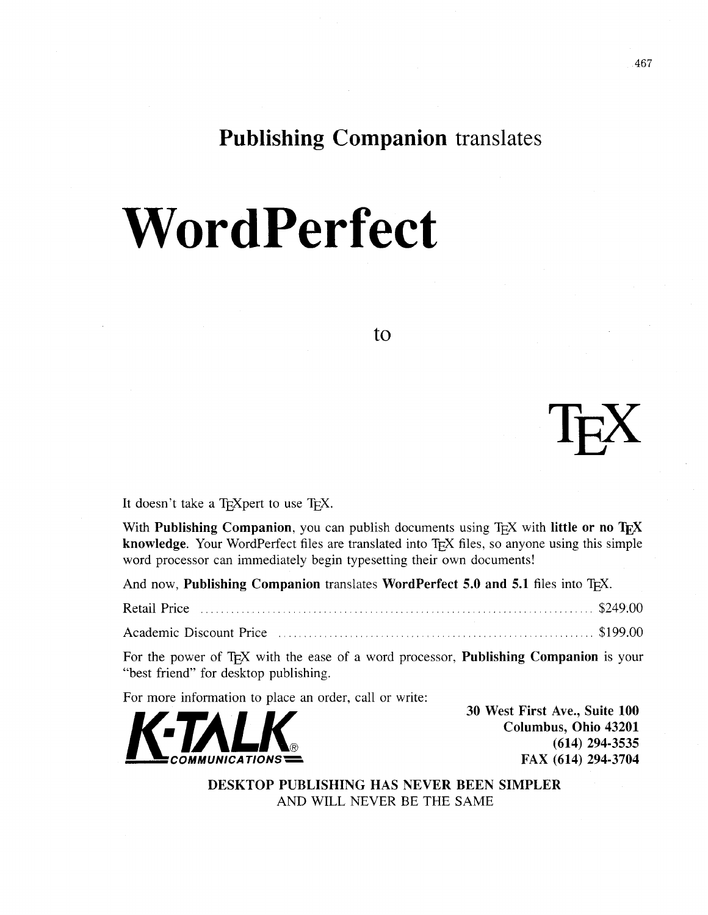**Publishing Companion** translates

## WordPerfect

#### to

It doesn't take a T<sub>E</sub>Xpert to use T<sub>E</sub>X.

With **Publishing Companion**, you can publish documents using T<sub>E</sub>X with **little or no T<sub>E</sub>X knowledge.** Your WordPerfect files are translated into T<sub>E</sub>X files, so anyone using this simple word processor can immediately begin typesetting their own documents!

And now, Publishing Companion translates WordPerfect 5.0 and 5.1 files into T<sub>E</sub>X.

Retail Price ............................................................................. \$249.00

Academic Discount Price .............................................................. \$199.00

For the power of T<sub>E</sub>X with the ease of a word processor, **Publishing Companion** is your "best friend" for desktop publishing.

For more information to place an order, call or write:



**30 West First Ave., Suite 100 Columbus, Ohio 43201 (614) 294-3535 FAX (614) 294-3704** 

**DESKTOP PUBLISHING HAS NEVER BEEN SIMPLER**  AND WILL NEVER BE THE SAME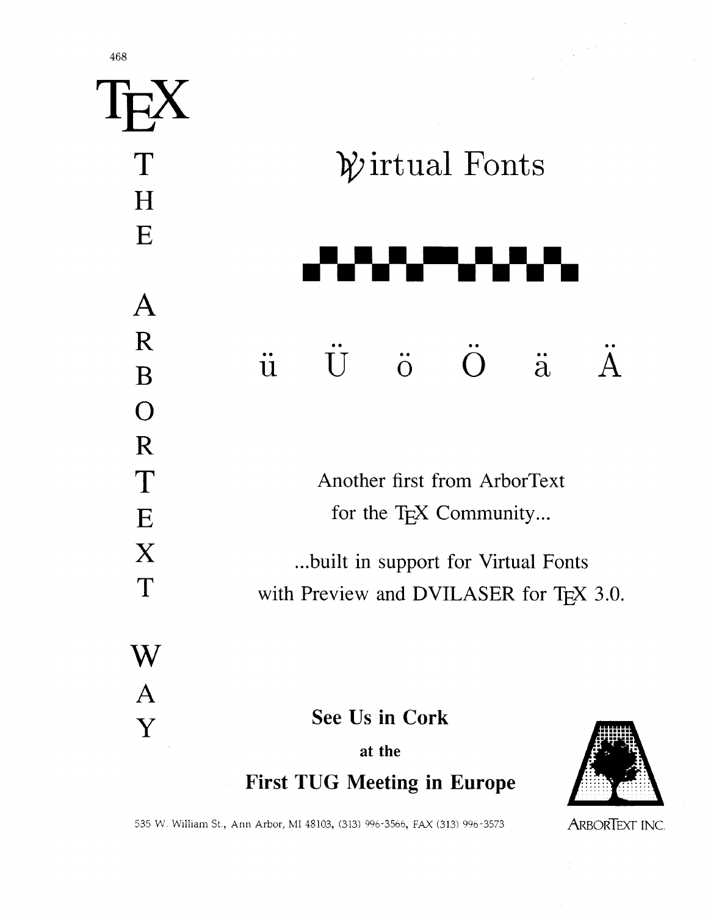

 $\overline{\text{W}}$ 

 $\overline{A}$ 

Y

 $\ddot{u}$ 

U

# $\mathcal W$ irtual Fonts

Another first from ArborText for the T<sub>E</sub>X Community...

 $\overline{O}$ 

 $\ddot{a}$ 

 $\overline{A}$ 

 $\ddot{O}$ 

... built in support for Virtual Fonts with Preview and DVILASER for T<sub>F</sub>X 3.0.

**See Us in Cork** 

**at the** 

**First TUG Meeting in Europe** 



535 W. William St., Ann Arbor, MI 48103, (313) 996-3566, FAX (313) 996-3573 ARBORTEXT INC.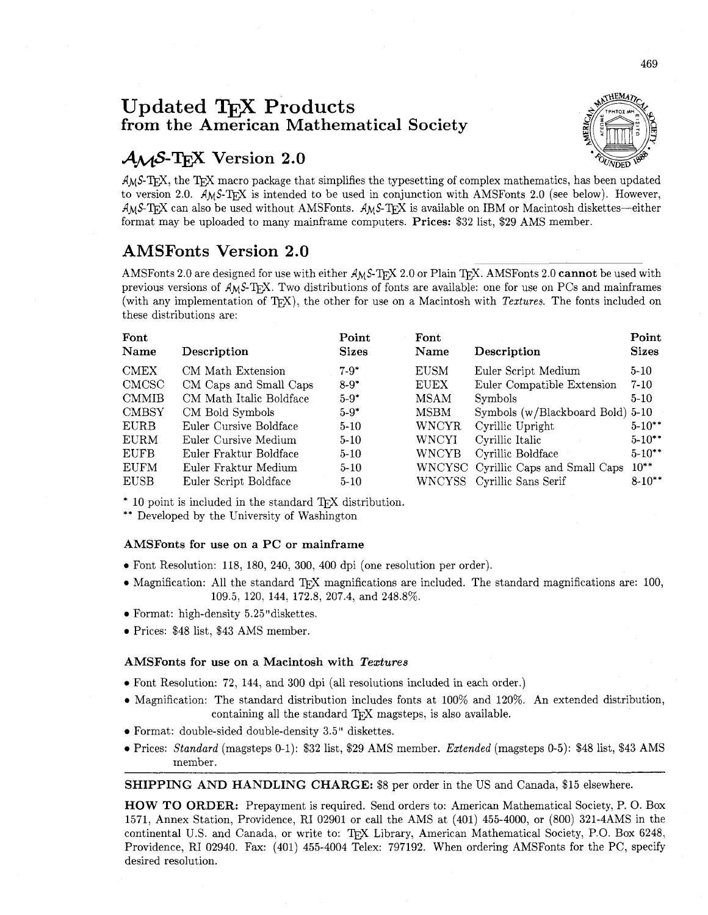#### **Updated Products from the American Mathematical Society**

#### **AMS-TFX Version 2.0**



 $AMS$ -TEX, the TEX macro package that simplifies the typesetting of complex mathematics, has been updated to version 2.0.  $AMS$ -TEX is intended to be used in conjunction with AMSFonts 2.0 (see below). However,  $AMS-TEX$  can also be used without AMSFonts.  $AMS-TEX$  is available on IBM or Macintosh diskettes-either format may be uploaded to many mainframe computers. **Prices:** \$32 list, \$29 AMS member.

#### **AMSFonts Version 2.0**

AMSFonts 2.0 are designed for use with either  $A$ MS-TEX 2.0 or Plain TEX. AMSFonts 2.0 **cannot** be used with previous versions of  $A$ MS-T<sub>F</sub>X. Two distributions of fonts are available: one for use on PCs and mainframes (with any implementation of T<sub>F</sub>X), the other for use on a Macintosh with *Textures*. The fonts included on these distributions are:

| Font<br>Name | Description             | Point<br><b>Sizes</b> | $\mathop{\text{Font}}$<br>Name | Description                         | Point<br><b>Sizes</b> |
|--------------|-------------------------|-----------------------|--------------------------------|-------------------------------------|-----------------------|
| <b>CMEX</b>  | CM Math Extension       | $7-9*$                | <b>EUSM</b>                    | Euler Script Medium                 | $5 - 10$              |
| <b>CMCSC</b> | CM Caps and Small Caps  | $8 - 9*$              | <b>EUEX</b>                    | Euler Compatible Extension          | $7 - 10$              |
| <b>CMMIB</b> | CM Math Italic Boldface | $5 - 9*$              | MSAM                           | Symbols                             | $5 - 10$              |
| <b>CMBSY</b> | CM Bold Symbols         | $5 - 9*$              | $_{\rm MSBM}$                  | Symbols (w/Blackboard Bold) 5-10    |                       |
| <b>EURB</b>  | Euler Cursive Boldface  | $5 - 10$              | WNCYR.                         | Cyrillic Upright                    | $5 - 10^{**}$         |
| EURM         | Euler Cursive Medium    | $5 - 10$              | WNCYI                          | Cyrillic Italic                     | $5 - 10**$            |
| <b>EUFB</b>  | Euler Fraktur Boldface  | $5 - 10$              | <b>WNCYB</b>                   | Cyrillic Boldface                   | $5 - 10**$            |
| <b>EUFM</b>  | Euler Fraktur Medium    | $5 - 10$              |                                | WNCYSC Cyrillic Caps and Small Caps | $10***$               |
| <b>EUSB</b>  | Euler Script Boldface   | $5-10$                |                                | WNCYSS Cyrillic Sans Serif          | $8 - 10^{**}$         |

\* 10 point is included in the standard TEX distribution.

\*\* Developed by the University of Washington

#### **AMSFonts for use on a PC or mainframe**

- **0** Font Resolution: 118, 180, 240, 300, 400 dpi (one resolution per order).
- Magnification: All the standard T<sub>EX</sub> magnifications are included. The standard magnifications are: 100, 109.5, 120, 144, 172.8, 207.4, and 248.8%.
- Format: high-density 5.25 "diskettes.
- Prices: \$48 list, \$43 AMS member.

#### **AMSFonts for use on a Macintosh with Textures**

- **0** Font Resolution: 72, 144, and 300 dpi (all resolutions included in each order.)
- **0** Magnification: The standard distribution includes fonts at 100% and 120%. An extended distribution, containing all the standard T<sub>F</sub>X magsteps, is also available.
- Format: double-sided double-density 3.5" diskettes.
- Prices: *Standard* (magsteps 0-1): \$32 list, \$29 AMS member. *Eztended* (magsteps 0-5): \$48 list, \$43 AMS member.

**SHIPPING AND HANDLING CHARGE:** \$8 per order in the US and Canada, \$15 elsewhere.

**HOW TO ORDER:** Prepayment is required. Send orders to: American Mathematical Society, P. 0. Box 1571, Annex Station, Providence, RI 02901 or call the AMS at (401) 455-4000, or (800) 321-4AMS in the continental U.S. and Canada, or write to: TEX Library, American Mathematical Society, P.O. Box 6248, Providence, RI 02940. Fax: (401) 455-4004 Telex: 797192. When ordering AMSFonts for the PC, specify desired resolution.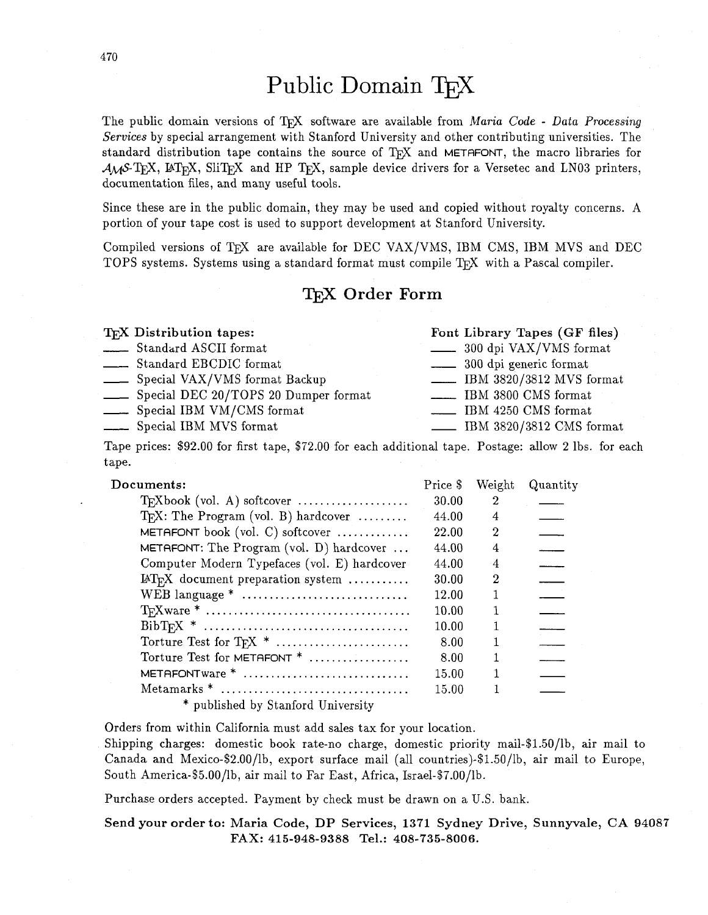#### Public Domain TFX

The public domain versions of T<sub>F</sub>X software are available from *Maria Code - Data Processing* Services by special arrangement with Stanford University and other contributing universities. The standard distribution tape contains the source of TEX and METAFONT, the macro libraries for AMS-T<sub>F</sub>X, Ist<sub>IF</sub>X, SliT<sub>F</sub>X and HP T<sub>F</sub>X, sample device drivers for a Versetec and LN03 printers, documentation files, and many useful tools.

Since these are in the public domain, they may be used and copied without royalty concerns. A portion of your tape cost is used to support development at Stanford University.

Compiled versions of TEX are available for DEC VAX/VMS, IBM CMS, IBM MVS and DEC TOPS systems. Systems using a standard format must compile T<sub>F</sub>X with a Pascal compiler.

#### TEX **Order Form**

| T <sub>F</sub> X Order Form                                                                                                                                                                                                                                                       |                                                                                                                                                                                         |  |  |  |
|-----------------------------------------------------------------------------------------------------------------------------------------------------------------------------------------------------------------------------------------------------------------------------------|-----------------------------------------------------------------------------------------------------------------------------------------------------------------------------------------|--|--|--|
| <b>TFX</b> Distribution tapes:<br>Standard ASCII format<br>_____ Standard EBCDIC format<br>___ Special VAX/VMS format Backup<br>Special DEC 20/TOPS 20 Dumper format<br>$\overbrace{\phantom{aaaaa}}^{x}$<br>Special IBM VM/CMS format<br>$\frac{1}{1}$<br>Special IBM MVS format | Font Library Tapes (GF files)<br>300 dpi VAX/VMS format<br>300 dpi generic format<br>IBM 3820/3812 MVS format<br>IBM 3800 CMS format<br>IBM 4250 CMS format<br>IBM 3820/3812 CMS format |  |  |  |
| Tape prices: \$92.00 for first tape, \$72.00 for each additional tape. Postage: allow 2 lbs. for each<br>tape.                                                                                                                                                                    |                                                                                                                                                                                         |  |  |  |
| Documents:<br>$T_F X$ : The Program (vol. B) hardcover                                                                                                                                                                                                                            | Price \$<br>Weight<br>Quantity<br>30.00<br>2<br>44.00<br>4                                                                                                                              |  |  |  |

| Documents: |  |
|------------|--|
|------------|--|

| ocuments:                                                                                | Price \$ | Weight  | Quantity |
|------------------------------------------------------------------------------------------|----------|---------|----------|
|                                                                                          | 30.00    | 2       |          |
| TFX: The Program (vol. B) hardcover $\ldots \ldots$                                      | 44.00    | 4       |          |
| METAFONT book (vol. $C$ ) softcover                                                      | 22.00    | 2       |          |
| METAFONT: The Program (vol. $D$ ) hardcover                                              | 44.00    | 4       |          |
| Computer Modern Typefaces (vol. E) hardcover                                             | 44.00    | $\cdot$ |          |
| $IAT$ <sub>F</sub> X document preparation system                                         | 30.00    | 2       |          |
|                                                                                          | 12.00    |         |          |
| $TrXware * \ldots \ldots \ldots \ldots \ldots \ldots \ldots \ldots \ldots \ldots \ldots$ | 10.00    |         |          |
| $BibTFX * \ldots \ldots \ldots \ldots \ldots \ldots \ldots \ldots \ldots \ldots$         | 10.00    |         |          |
|                                                                                          | 8.00     |         |          |
| Torture Test for METAFONT $*$                                                            | 8.00     |         |          |
| METAFONTware *                                                                           | 15.00    |         |          |
|                                                                                          | 15.00    |         |          |
| * published by Stanford University                                                       |          |         |          |

Orders from within California must add sales tax for your location.

Shipping charges: domestic book rate-no charge, domestic priority mail-\$1.50/lb, air mail to Canada and Mexico-\$2.00/lb, export surface mail (all countries)- $$1.50/lb$ , air mail to Europe, South America-\$5.00/lb, air mail to Far East, Africa, Israel-\$7.00/lb.

Purchase orders accepted. Payment by check must be drawn on a U.S. bank.

#### Send your order to: Maria Code, DP Services, **1371** Sydney Drive, Sunnyvale, **CA 94087**  FAX: **415-948-9388** Tel.: **408-735-8006.**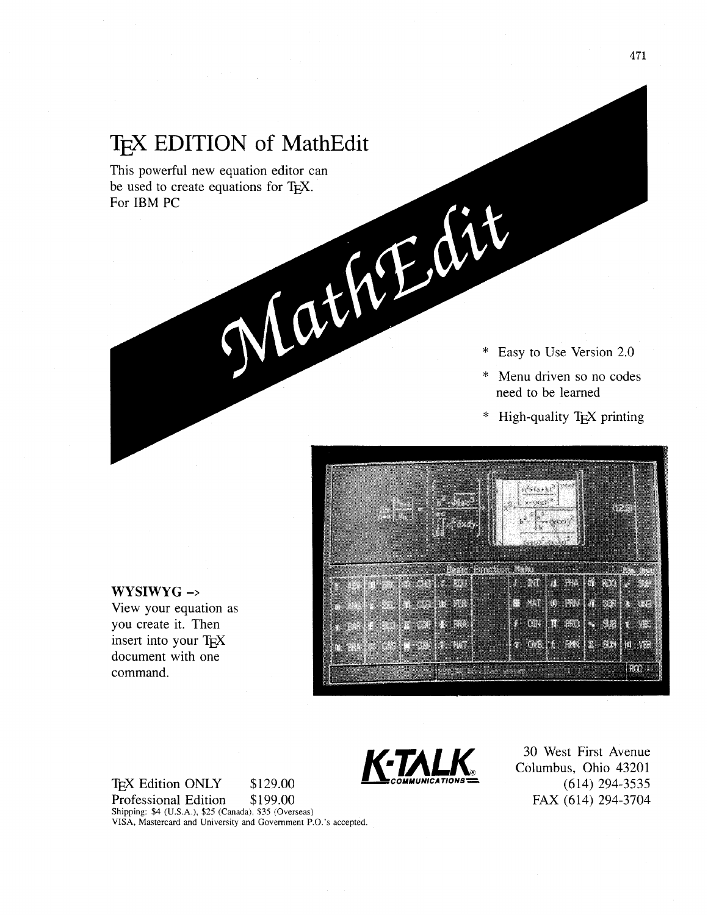#### TFX EDITION of MathEdit

This powerful new equation editor can Equations for T<sub>EX</sub>. be used to create equations for TFX. For IBM PC

- Easy to Use Version 2.0
- Menu driven so no codes need to be learned
- \* High-quality T<sub>F</sub>X printing



#### **WYSIWYG** ->

View your equation as you create it. Then insert into your  $T_F X$ document with one command.



30 West First Avenue Columbus, Ohio 43201  $(614)$  294-3535 FAX (614) 294-3704

TEX Edition ONLY \$129.00 Professional Edition \$199.00 Shipping: \$4 (U.S.A.), \$25 (Canada), \$35 (Overseas) VISA, Mastercard and University and Government P.O.'s accepted.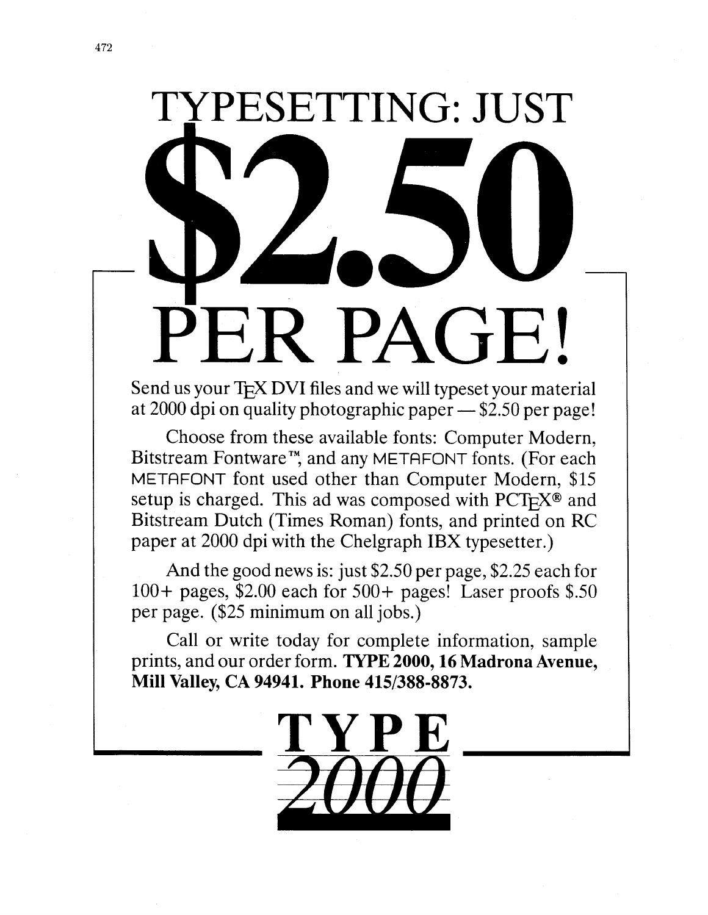## TYPESETTING: JUST 2 **50** <u>**finite**.</u> R PAGE!

Send us your TEX DVI files and we will typeset your material Send us your T<sub>E</sub>X DVI files and we will typeset your material<br>at 2000 dpi on quality photographic paper — \$2.50 per page!

Choose from these available fonts: Computer Modern, Bitstream Fontware<sup>rM</sup>, and any METAFONT fonts. (For each METAFONT font used other than Computer Modern, \$15 setup is charged. This ad was composed with  $PCT<sub>F</sub>X<sup>®</sup>$  and Bitstream Dutch (Times Roman) fonts, and printed on RC paper at 2000 dpi with the Chelgraph IBX typesetter.)

And the good news is: just \$2.50 per page, \$2.25 each for  $100+$  pages, \$2.00 each for  $500+$  pages! Laser proofs \$.50 per page. (\$25 minimum on all jobs.)

Call or write today for complete information, sample prints, and our order form. TYPE **2000,16 Madrona Avenue, Mill Valley, CA 94941. Phone 415/388-8873.** 

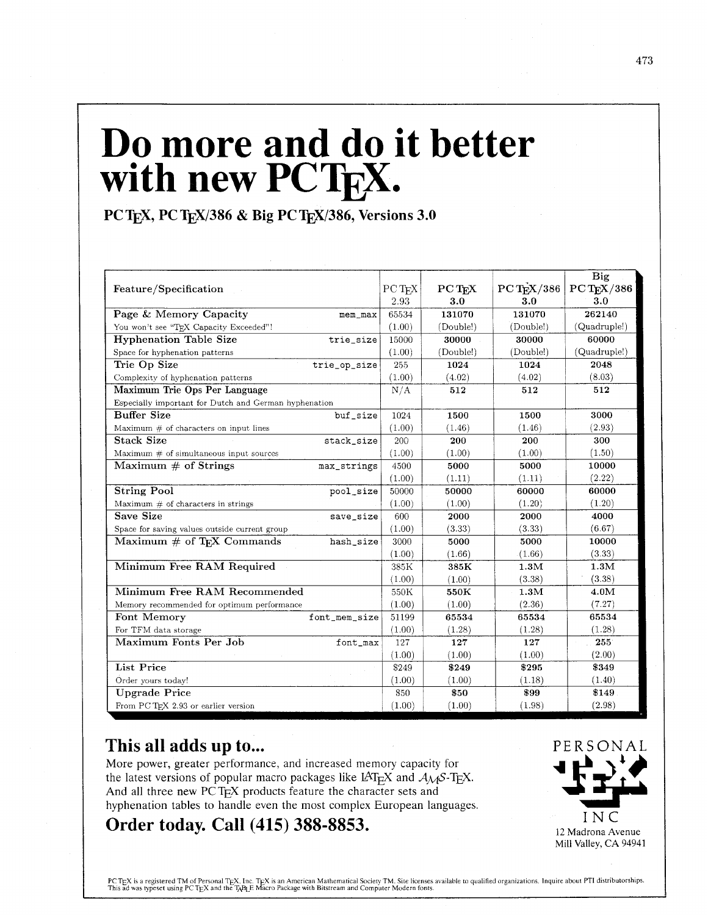### **Do more and do it better**   $with new PCTFX.$

**PC TEX, PC T~X1386** & **Big PC T~X1386, Versions 3.0** 

| Feature/Specification                                 | PC TFX<br>2.93 | PCT <sub>E</sub> X<br>3.0 | $PC$ T <sub>F</sub> X/386<br>3.0 | Big<br>$PC$ TEX/386<br>3.0 |
|-------------------------------------------------------|----------------|---------------------------|----------------------------------|----------------------------|
| Page & Memory Capacity<br>mem_max                     | 65534          | 131070                    | 131070                           | 262140                     |
| You won't see "TFX Capacity Exceeded"!                | (1.00)         | (Double!)                 | (Double!)                        | (Quadruple!)               |
| <b>Hyphenation Table Size</b><br>trie_size            | 15000          | 30000                     | 30000                            | 60000                      |
| Space for hyphenation patterns                        | (1.00)         | (Double!)                 | (Double!)                        | (Quadruple!)               |
| Trie Op Size<br>trie_op_size                          | 255            | 1024                      | 1024                             | 2048                       |
| Complexity of hyphenation patterns                    | (1.00)         | (4.02)                    | (4.02)                           | (8.03)                     |
| Maximum Trie Ops Per Language                         | N/A            | 512                       | 512                              | 512                        |
| Especially important for Dutch and German hyphenation |                |                           |                                  |                            |
| <b>Buffer Size</b><br>buf_size                        | 1024           | 1500                      | 1500                             | 3000                       |
| Maximum # of characters on input lines                | (1.00)         | (1.46)                    | (1.46)                           | (2.93)                     |
| <b>Stack Size</b><br>stack_size                       | 200            | 200                       | 200                              | 300                        |
| Maximum $#$ of simultaneous input sources             | (1.00)         | (1.00)                    | (1.00)                           | (1.50)                     |
| Maximum $#$ of Strings<br>max_strings                 | 4500           | 5000                      | 5000                             | 10000                      |
|                                                       | (1.00)         | (1.11)                    | (1.11)                           | (2.22)                     |
| <b>String Pool</b><br>pool_size                       | 50000          | 50000                     | 60000                            | 60000                      |
| Maximum # of characters in strings                    | (1.00)         | (1.00)                    | (1.20)                           | (1.20)                     |
| Save Size<br>save_size                                | 600            | 2000                      | 2000                             | 4000                       |
| Space for saving values outside current group         | (1.00)         | (3.33)                    | (3.33)                           | (6.67)                     |
| Maximum $#$ of TEX Commands<br>hash_size              | 3000           | 5000                      | 5000                             | 10000                      |
|                                                       | (1.00)         | (1.66)                    | (1.66)                           | (3.33)                     |
| Minimum Free RAM Required                             | 385K           | 385K                      | 1.3M                             | 1.3M                       |
|                                                       | (1.00)         | (1.00)                    | (3.38)                           | (3.38)                     |
| Minimum Free RAM Recommended                          | 550K           | 550K                      | 1.3M                             | 4.0M                       |
| Memory recommended for optimum performance            | (1.00)         | (1.00)                    | (2.36)                           | (7.27)                     |
| Font Memory<br>$font\_mem\_size$                      | 51199          | 65534                     | 65534                            | 65534                      |
| For TFM data storage                                  | (1.00)         | (1.28)                    | (1.28)                           | (1.28)                     |
| Maximum Fonts Per Job<br>font max                     | 127            | 127                       | 127                              | 255                        |
|                                                       | (1.00)         | (1.00)                    | (1.00)                           | (2.00)                     |
| <b>List Price</b>                                     | \$249          | \$249                     | \$295                            | \$349                      |
| Order yours today!                                    | (1.00)         | (1.00)                    | (1.18)                           | (1.40)                     |
| <b>Upgrade Price</b>                                  | \$50           | \$50                      | \$99                             | \$149                      |
| From PC TFX 2.93 or earlier version                   | (1.00)         | (1.00)                    | (1.98)                           | (2.98)                     |

#### **This all adds up to...**

More power, greater performance, and increased memory capacity for the latest versions of popular macro packages like LAT<sub>E</sub>X and  $A_{\mathcal{M}}S$ -T<sub>E</sub>X. And all three new PCTEX products feature the character sets and hyphenation tables to handle even the most complex European languages.

#### **Order today. Call (415) 388-8853.**



Mill Valley, CA 94941

PC TEX is a registered TM of Personal TEX, Inc. TEX is an American Mathematical Society TM. Site licenses available to qualified organizations. Inquire about PTI distributorships.<br>This ad was typeset using PC TEX and the T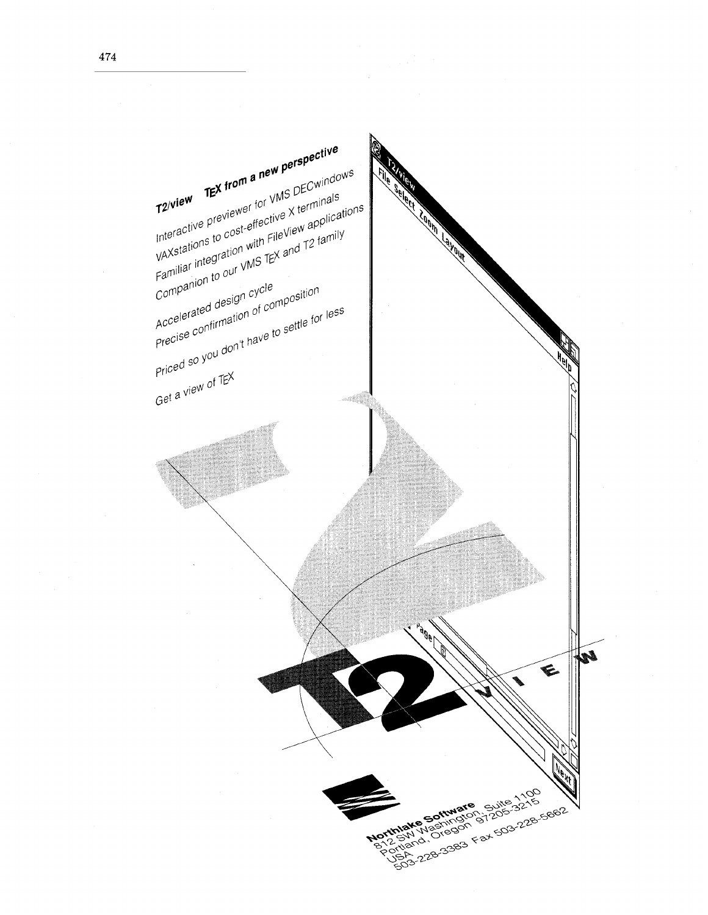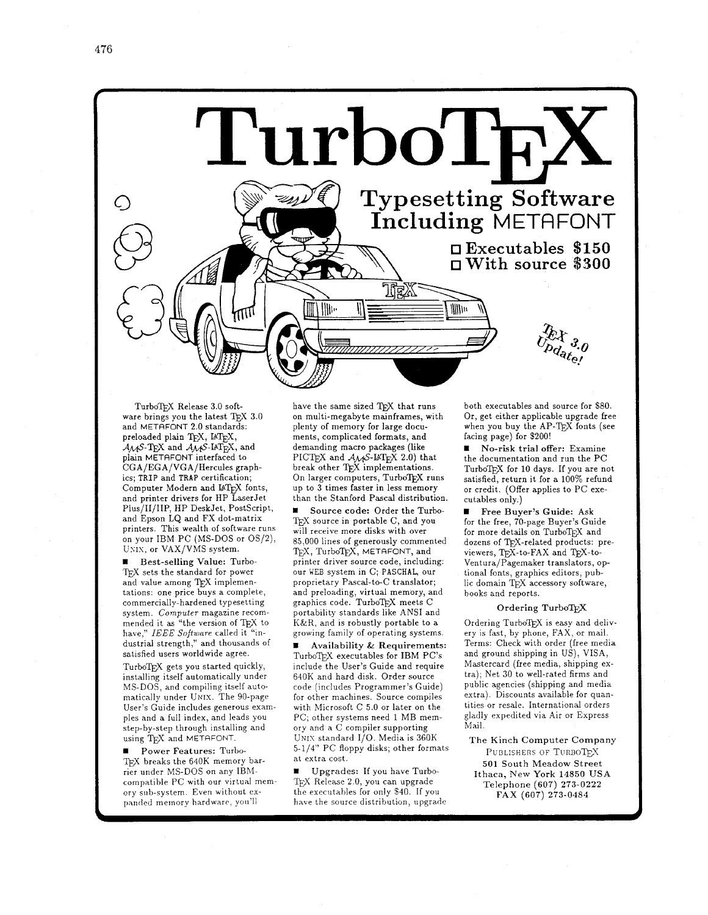



TurboTFX Release 3.0 software brings you the latest TEX 3.0 and METAFONT 2.0 standards: preloaded plain TEX,  $IATEX$ ,  $A_{\mathcal{M}}S$ -TEX and  $A_{\mathcal{M}}S$ -IATEX, and plain METAFONT interfaced to CGA/EGA/VGA/Hercules graphics; TRIP and TRAP certification; Computer Modern and IATFX fonts, and printer drivers for HP LaserJet Plus/II/IIP, HP DeskJet, PostScript, and Epson LQ and FX dot-matrix printers. This wealth of software runs on your IBM PC (MS-DOS or OS/2), UNIX, or VAX/VMS system.

Best-selling Value: Turbo-TEX sets the standard for power and value among TEX implementations: one price buys a complete, commercially-hardened typesetting system. *Computer* magazine recomsystem. *Computer* magazine recom-<br>mended it as "the version of T<sub>E</sub>X to<br>have," *IEEE Software* called it "industrial strength," and thousands of satisfied users worldwide agree.

TurboTEX gets you started quickly, installing itself automatically under MS-DOS, and compiling itself automatically under UNIX. The 90-page User's Guide includes generous examples and a full index, and leads you step-by-step through installing and using TEX and METAFONT.

Power Features: Turbo- TEX breaks the 640K memory barrier under MS-DOS on any IBMcompatible PC with our virtual memory sub-system. Even without expanded memory hardware, you'll

have the same sized TFX that runs on multi-megabyte mainframes, with plenty of memory for large documents, complicated formats, and demanding macro packages (like PICT<sub>F</sub>X and  $A_{\mathcal{M}}$ S-LAT<sub>F</sub>X 2.0) that break other TEX implementations. On larger computers, TurboTEX runs up to **3** times faster in less memory than the Stanford Pascal distribution.

Source code: Order the Turbo-TEX source in portable C, and you will receive more disks with over 85,000 lines of generously commented TEX, TurboTEX, METRFONT, and printer driver source code, including: our WEB system in C; PASCHAL, our proprietary Pascal-to-C translator; and preloading, virtual memory, and graphics code. TurboTFX meets C portability standards like ANSI and K&R, and is robustly portable to a growing family of operating systems.

Availability & Requirements: TurboTFX executables for IBM PC's include the User's Guide and require 640K and hard disk. Order source code (includes Programmer's Guide) for other machines. Source compiles with Microsoft C 5.0 or later on the PC; other systems need 1 MB memory and a C compiler supporting UNIX standard I/O. Media is 360K 5-1/4" PC floppy disks; other formats at extra cost.

**D** Upgrades: If you have Turbo-TFX Release 2.0, you can upgrade the executahles for only \$40. If you have the source distribution, upgrade

both executables and source for \$80. Or, get either applicable upgrade free when you buy the AP-TEX fonts (see facing page) for \$200!

 $\blacksquare$  No-risk trial offer: Examine the documentation and run the PC TurboTFX for 10 days. If you are not satisfied, return it for a 100% refund or credit. (Offer applies to PC executables only.)

Free Buyer's Guide: Ask for the free, 70-page Buyer's Guide for more details on TurboTEX and dozens of TEX-related products: previewers,  $T_F\overline{X}$ -to-FAX and  $T_FX$ -to-Ventura/Pagemaker translators, optional fonts, graphics editors, public domain TFX accessory software, books and reports.

#### Ordering TurboTFX

Ordering TurboTFX is easy and delivery is fast, by phone, **F.4X,** or mail. Terms: Check with order (free media and ground shipping in US), VISA, Mastercard (free media, shipping extra); Net 30 to well-rated firms and public agencies (shipping and media extra). Discounts available for quantities or resale. International orders gladly expedited via Air or Express Mail.

The Kinch Computer Company PUBLISHERS OF TURBOTEX 501 South Meadow Street Ithaca, New York 14850 USA Telephone (607) 273-0222 FAX (607) 273-0484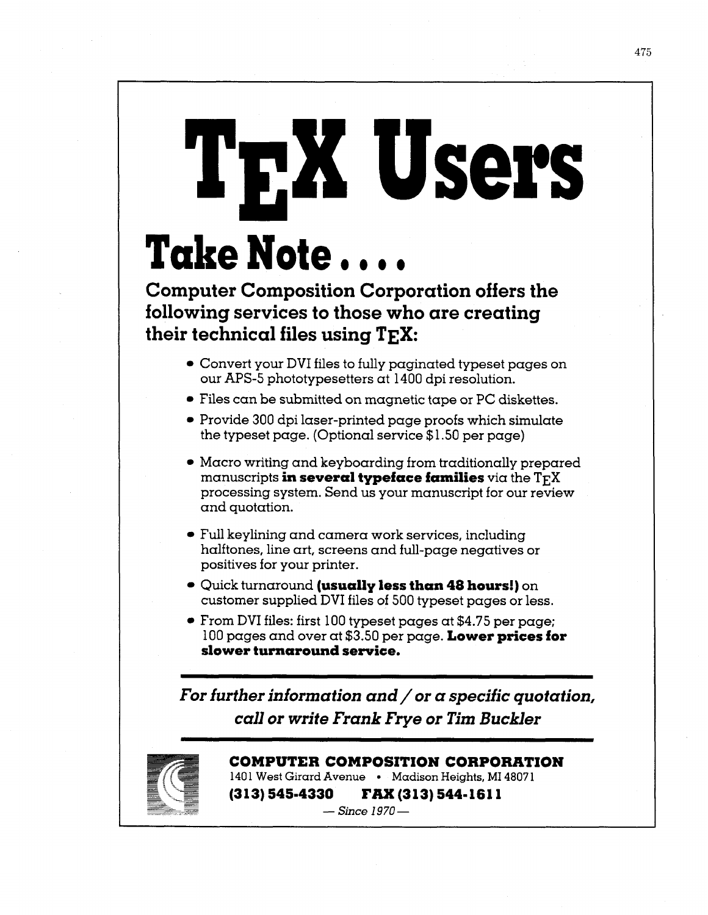## **TEX Users**

## **Take Note** ,. ,,

**Computer Composition Corporation offers the following services to those who are creating their technical files using TEX:** 

- Convert your DVI files to fully paginated typeset pages on our APS-5 phototypesetters at 1400 dpi resolution.
- Files can be submitted on magnetic tape or PC diskettes.
- Provide 300 dpi laser-printed page proofs which simulate the typeset page. (Optional service  $$1.50$  per page)
- Macro writing and keyboarding from traditionally prepared manuscripts **in several typeface families** via the TEX processing system. Send us your manuscript for our review and quotation.
- Full keylining and camera work services, including halftones, line art, screens and full-page negatives or positives for your printer.
- Quick turnaround **(usually less than 48 hours!)** on customer supplied DVI files of 500 typeset pages or less.
- From DVI files: first 100 typeset pages at \$4.75 per page; 100 pages and over at \$3.50 per page. **Lower prices for slower turnaround service.**

*For further information and* / *or a specific quotation, call or write Frank Frye or Tim Buckler* 



#### **COMPUTER COMPOSITION CORPORATION** 1401 West Girard Avenue . Madison Heights, MI 48071 (313) 545-4330 FAX (313) 544-1611

 $-$  Since  $1970-$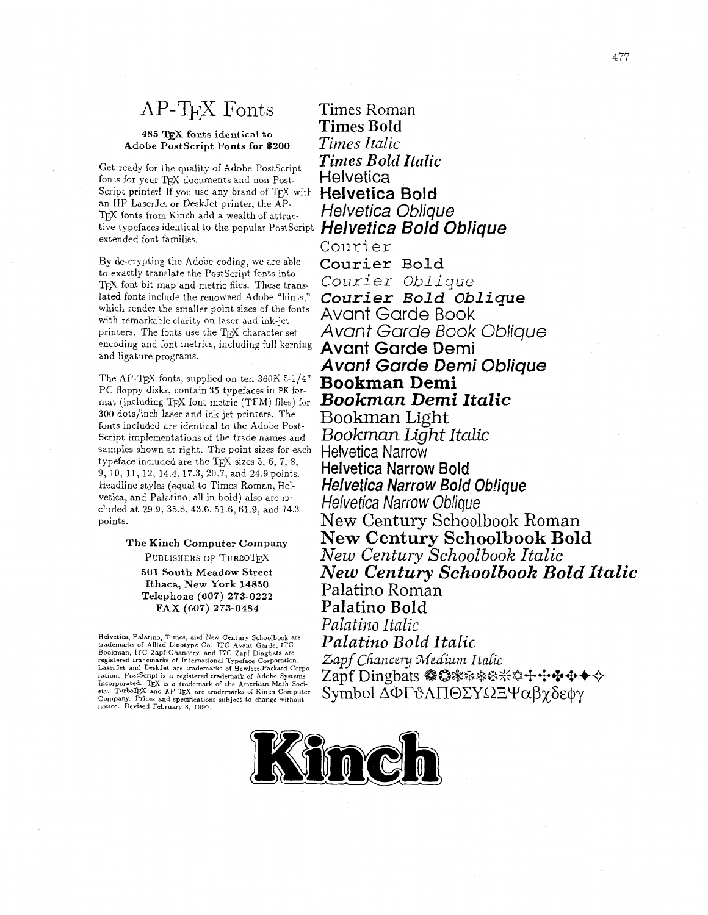#### AP-TEX **Fonts Times Roman**

#### **<sup>485</sup>TEX fonts identical to Times Bold Adobe Postscript Fonts for \$200** *Times Italic*

Get ready for the quality of Adobe PostScript *Times Bold Italic*<br>fonts for your TeX documents and non-Post-<br>**Helvetica** fonts for your TgX documents and non-Post-Script printer! If you use any brand of TEX with **Helvetica Bold** an HP LaserJet or DeskJet printer, the AP-TEX fonts from Kinch add a wealth of attrac- *Helvetica Oblique* tive typefaces identical to the popular PatScript *Helvefica* **Bold** *Oblique*  extended font families.<br>Courier

By de-crypting the Adobe coding, we are able Courier Bold to exactly translate the Postscript fonts into TeX font bit map and metric files. These trans- *COUTI er Oblique* lated fonts include the renowned Adobe "hints," *Courier Bold Oblique*  which render the smaller point sizes of the fonts which render the smaller point sizes of the lonts Avant Garde Book with remarkable clarity on laser and ink-jet encoding and font metrics, including full kerning and ligature programs. **Avant Garde** Demi

The AP-1<sub>E</sub>X tonts, supplied on ten 360K 5-1/4" **Bookman Demi PC** floppy disks, contain 35 typefaces in PK for-<br>mat (including T<sub>F</sub>X font metric (TFM) files) for **Bookman Demi Italic** 300 dots/inch laser and ink-jet printers. The BOOKman Light 300 dots/inch laser and ink-jet printers. The **BOOkman Light** fonts included are identical to the Adobe Post-<br>Script implementations of the trade names and **BOOkman Light Italic** amples shown at right. The point sizes for each ypeface included are the T<sub>E</sub>X sizes 5, 6, 7, 8, typeface included are the TEX sizes 5, 6, 7, 8, 9, 10, 11, 12, 14.4, 17.3, 20.7, and 24.9 points. Headline styles (equal to Times Roman, Helvetica, and Palatino, all in bold) also are included at 29.9, 35.8, 43.0, 51.6, 61.9, and 74.3 points.

**501 South Meadow Street Ithaca, New York 14850 Telephone (607) 273-0222** Palatin0 Roman **FAX (607) 273-0484 Palatino Bold** 

**Helvetica, Palatino, Times, and** *New* **Century Schoolbook are trademarks of Allied Linot~pe** Co. **ITC Avant Garde. ITC Bookman, ITC Zapf Chancery, and ITC Zapf Dingbats are registered trademarks of International Typeface Corporation. LaserJet and DeskJet are trademarks of Hewlett-Packard Corp~**  ation. PostScript is a registered trademark of Adobe Systems<br>neorporated. TeX is a trademark of the American Math Soci-ty. TurbofkX and AP-TeX are trademarks of Kinch Computer<br>Company. Prices and specifications subject to

printers. The fonts use the TEX character set Avant Garde Book Oblique **Avant** Garde Demi Oblique **AVAII Garde Den**<br>PC floppy disks, contain 35 typefaces in PK for-<br>PC floppy disks, contain 35 typefaces in PK for-Helvetica Narrow Helvetica Narrow **Bold**  Helvetica Narrow Bold Oblique Helvetica Narrow Oblique New Century Schoolbook Roman  $\sigma$  **The Kinch Computer Company New Century Schoolbook Bold** PUBLISHERS OF TURBO\*^ - *New Century Schoolbook Italic New Century Schoolbook Bold Italic*  Palatino Italic *Palatino Bold Italic*   $Z$ apf *Chancery Medium Italic* **Zapf Dingbats 参◎ \*\*\*\*\*\*☆十·1·◆ サ◆** Symbol ΔΦΓθΛΠΘΣΥΩΞΨαβγδεφγ

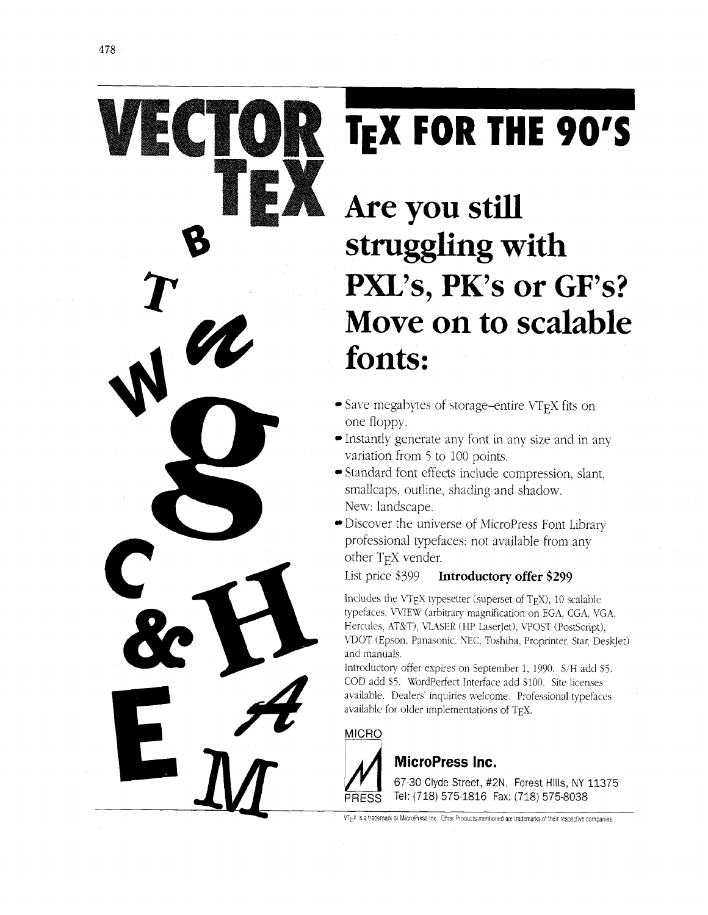## **TEX FOR THE 90's**

**Are you still struggling with**  PXL's, PK's or GF's? **Move on to scalable fonts:** 

- Save megabytes of storage-entire VT<sub>F</sub>X fits on one floppy.
- Instantly generate any font in any size and in any variation from 5 to 100 points.
- Standard font effects include compression, slant, smallcaps, outline, shading and shadow. New: landscape.
- Discover the universe of MicroPress Font Library professional typefaces: not available from any other  $T_F X$  vender.

#### List price \$399 **Introductory offer \$299**

Includes the VTEX typesetter (superset of TEX), 10 scalable typefaces, VVIEW (arbitrary magnification on EGA, CGA, VGA, Hercules, AT&T), VLASER (HP LaserJet), VPOST (PostScript), \'DOT (Epson. Panasonic. NEC. Toshiba, Proprinter, Star, DeskJet) and manuals.

Introductory offer expires on September 1, 1990. S/H add \$5. COD add \$5. Wordperfect Interface add \$100. Site licenses available. Dealers' inquiries welcome. Professional typefaces vailable for older implementations of  $T_{E}X$ .<br> $\overline{MICRO}$ 

MICRO

#### **MicroPress Inc.**

67-30 Clyde Street, #2N, Forest Hills, NY 11375 Tel: (718) 575-1816 Fax: (718) 575-8038

VTEX is a trademark of MicroPress Inc. Other Products mentioned are trademarks of their respective companies.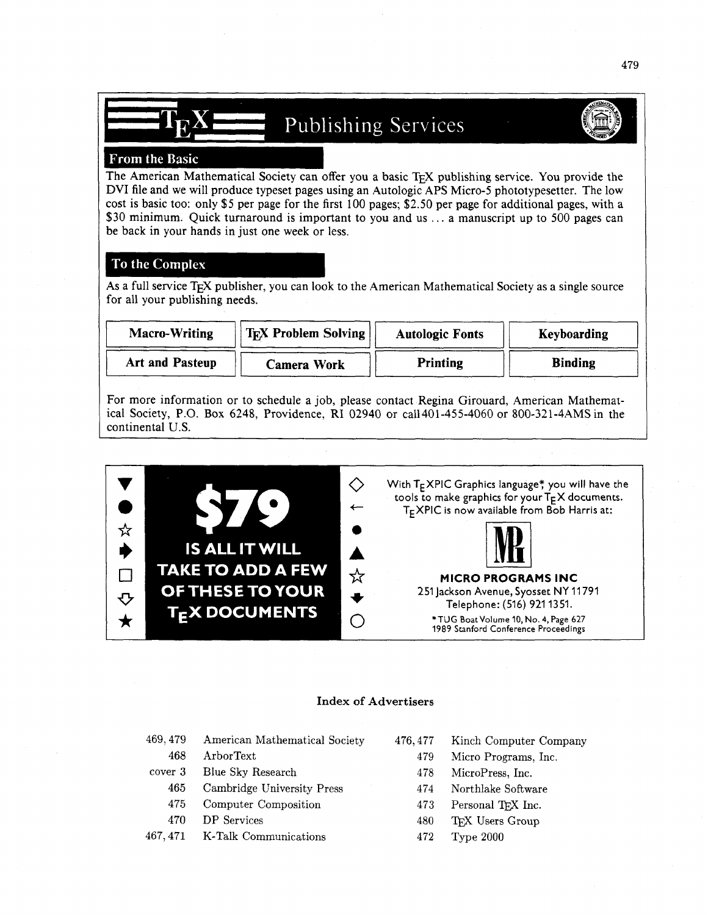#### **Publishing Services**

#### From the Basic

The American Mathematical Society can offer you a basic TEX publishing service. You provide the DVI file and we will produce typeset pages using an Autologic APS Micro-5 phototypesetter. The low cost is basic too: only \$5 per page for the first 100 pages; \$2.50 per page for additional pages, with a \$30 minimum. Quick turnaround is important to you and us ... a manuscript up to 500 pages can be back in your hands in just one week or less.

#### To the Complex

As a full service TEX publisher, you can look to the American Mathematical Society as a single source for all your publishing needs.

| <b>Macro-Writing</b>   | <b>TFX Problem Solving</b> | <b>Autologic Fonts</b> | Keyboarding    |  |
|------------------------|----------------------------|------------------------|----------------|--|
| <b>Art and Pasteup</b> | Camera Work                | <b>Printing</b>        | <b>Binding</b> |  |

For more information or to schedule a job, please contact Regina Girouard, American Mathematical Society, P.O. Box 6248, Providence, RI 02940 or call 40 1-455-4060 or 800-32 1 **-4AMS** in the continental U.S.



#### **Index of Advertisers**

| 469, 479 | American Mathematical Society  | 476, 477 | Kinch Computer Company         |
|----------|--------------------------------|----------|--------------------------------|
| 468      | ArborText                      | 479      | Micro Programs, Inc.           |
| cover 3  | Blue Sky Research              | 478      | MicroPress, Inc.               |
| 465      | Cambridge University Press     | 474      | Northlake Software             |
| 475      | Computer Composition           | 473      | Personal T <sub>F</sub> X Inc. |
| 470      | DP Services                    | 480      | TFX Users Group                |
|          | 467, 471 K-Talk Communications | 472      | Type 2000                      |